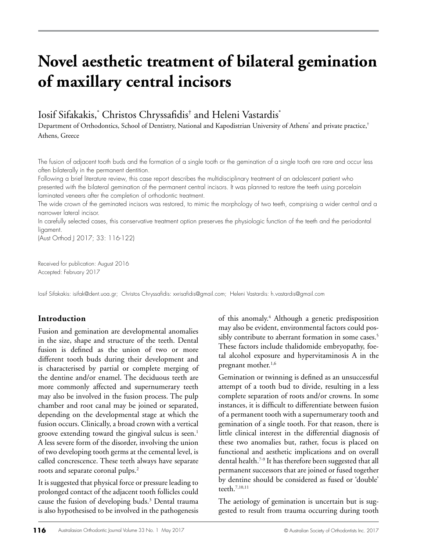# **Novel aesthetic treatment of bilateral gemination of maxillary central incisors**

## Iosif Sifakakis,\* Christos Chryssafidis† and Heleni Vastardis\*

Department of Orthodontics, School of Dentistry, National and Kapodistrian University of Athens<sup>\*</sup> and private practice,<sup>†</sup> Athens, Greece

The fusion of adjacent tooth buds and the formation of a single tooth or the gemination of a single tooth are rare and occur less often bilaterally in the permanent dentition.

Following a brief literature review, this case report describes the multidisciplinary treatment of an adolescent patient who presented with the bilateral gemination of the permanent central incisors. It was planned to restore the teeth using porcelain laminated veneers after the completion of orthodontic treatment.

The wide crown of the geminated incisors was restored, to mimic the morphology of two teeth, comprising a wider central and a narrower lateral incisor.

In carefully selected cases, this conservative treatment option preserves the physiologic function of the teeth and the periodontal ligament.

(Aust Orthod J 2017; 33: 116-122)

Received for publication: August 2016 Accepted: February 2017

Iosif Sifakakis: isifak@dent.uoa.gr; Christos Chryssafidis: xxrisafidis@gmail.com; Heleni Vastardis: h.vastardis@gmail.com

#### **Introduction**

Fusion and gemination are developmental anomalies in the size, shape and structure of the teeth. Dental fusion is defined as the union of two or more different tooth buds during their development and is characterised by partial or complete merging of the dentine and/or enamel. The deciduous teeth are more commonly affected and supernumerary teeth may also be involved in the fusion process. The pulp chamber and root canal may be joined or separated, depending on the developmental stage at which the fusion occurs. Clinically, a broad crown with a vertical groove extending toward the gingival sulcus is seen.<sup>1</sup> A less severe form of the disorder, involving the union of two developing tooth germs at the cemental level, is called concrescence. These teeth always have separate roots and separate coronal pulps.<sup>2</sup>

It is suggested that physical force or pressure leading to prolonged contact of the adjacent tooth follicles could cause the fusion of developing buds.<sup>3</sup> Dental trauma is also hypothesised to be involved in the pathogenesis

of this anomaly.<sup>4</sup> Although a genetic predisposition may also be evident, environmental factors could possibly contribute to aberrant formation in some cases.<sup>5</sup> These factors include thalidomide embryopathy, foetal alcohol exposure and hypervitaminosis A in the pregnant mother.<sup>1,6</sup>

Gemination or twinning is defined as an unsuccessful attempt of a tooth bud to divide, resulting in a less complete separation of roots and/or crowns. In some instances, it is difficult to differentiate between fusion of a permanent tooth with a supernumerary tooth and gemination of a single tooth. For that reason, there is little clinical interest in the differential diagnosis of these two anomalies but, rather, focus is placed on functional and aesthetic implications and on overall dental health.7-9 It has therefore been suggested that all permanent successors that are joined or fused together by dentine should be considered as fused or 'double' teeth.7,10,11

The aetiology of gemination is uncertain but is suggested to result from trauma occurring during tooth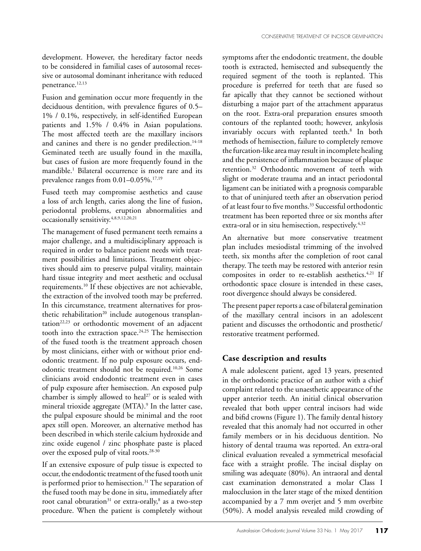development. However, the hereditary factor needs to be considered in familial cases of autosomal recessive or autosomal dominant inheritance with reduced penetrance.<sup>12,13</sup>

Fusion and gemination occur more frequently in the deciduous dentition, with prevalence figures of 0.5– 1% / 0.1%, respectively, in self-identified European patients and 1.5% / 0.4% in Asian populations. The most affected teeth are the maxillary incisors and canines and there is no gender predilection.<sup>14-18</sup> Geminated teeth are usually found in the maxilla, but cases of fusion are more frequently found in the mandible.<sup>1</sup> Bilateral occurrence is more rare and its prevalence ranges from  $0.01-0.05\%$ .<sup>17,19</sup>

Fused teeth may compromise aesthetics and cause a loss of arch length, caries along the line of fusion, periodontal problems, eruption abnormalities and occasionally sensitivity.4,8,9,12,20,21

The management of fused permanent teeth remains a major challenge, and a multidisciplinary approach is required in order to balance patient needs with treatment possibilities and limitations. Treatment objectives should aim to preserve pulpal vitality, maintain hard tissue integrity and meet aesthetic and occlusal requirements.10 If these objectives are not achievable, the extraction of the involved tooth may be preferred. In this circumstance, treatment alternatives for prosthetic rehabilitation<sup>20</sup> include autogenous transplantation<sup>22,23</sup> or orthodontic movement of an adjacent tooth into the extraction space.<sup>24,25</sup> The hemisection of the fused tooth is the treatment approach chosen by most clinicians, either with or without prior endodontic treatment. If no pulp exposure occurs, endodontic treatment should not be required.10,26 Some clinicians avoid endodontic treatment even in cases of pulp exposure after hemisection. An exposed pulp chamber is simply allowed to heal<sup>27</sup> or is sealed with mineral trioxide aggregate (MTA).<sup>9</sup> In the latter case, the pulpal exposure should be minimal and the root apex still open. Moreover, an alternative method has been described in which sterile calcium hydroxide and zinc oxide eugenol / zinc phosphate paste is placed over the exposed pulp of vital roots.28-30

If an extensive exposure of pulp tissue is expected to occur, the endodontic treatment of the fused tooth unit is performed prior to hemisection.<sup>31</sup> The separation of the fused tooth may be done in situ, immediately after root canal obturation<sup>31</sup> or extra-orally,<sup>8</sup> as a two-step procedure. When the patient is completely without

symptoms after the endodontic treatment, the double tooth is extracted, hemisected and subsequently the required segment of the tooth is replanted. This procedure is preferred for teeth that are fused so far apically that they cannot be sectioned without disturbing a major part of the attachment apparatus on the root. Extra-oral preparation ensures smooth contours of the replanted tooth; however, ankylosis invariably occurs with replanted teeth.8 In both methods of hemisection, failure to completely remove the furcation-like area may result in incomplete healing and the persistence of inflammation because of plaque retention.32 Orthodontic movement of teeth with slight or moderate trauma and an intact periodontal ligament can be initiated with a prognosis comparable to that of uninjured teeth after an observation period of at least four to five months.33 Successful orthodontic treatment has been reported three or six months after extra-oral or in situ hemisection, respectively.<sup>4,32</sup>

An alternative but more conservative treatment plan includes mesiodistal trimming of the involved teeth, six months after the completion of root canal therapy. The teeth may be restored with anterior resin composites in order to re-establish aesthetics.<sup>4,21</sup> If orthodontic space closure is intended in these cases, root divergence should always be considered.

The present paper reports a case of bilateral gemination of the maxillary central incisors in an adolescent patient and discusses the orthodontic and prosthetic/ restorative treatment performed.

### **Case description and results**

A male adolescent patient, aged 13 years, presented in the orthodontic practice of an author with a chief complaint related to the unaesthetic appearance of the upper anterior teeth. An initial clinical observation revealed that both upper central incisors had wide and bifid crowns (Figure 1). The family dental history revealed that this anomaly had not occurred in other family members or in his deciduous dentition. No history of dental trauma was reported. An extra-oral clinical evaluation revealed a symmetrical mesofacial face with a straight profile. The incisal display on smiling was adequate (80%). An intraoral and dental cast examination demonstrated a molar Class I malocclusion in the later stage of the mixed dentition accompanied by a 7 mm overjet and 5 mm overbite (50%). A model analysis revealed mild crowding of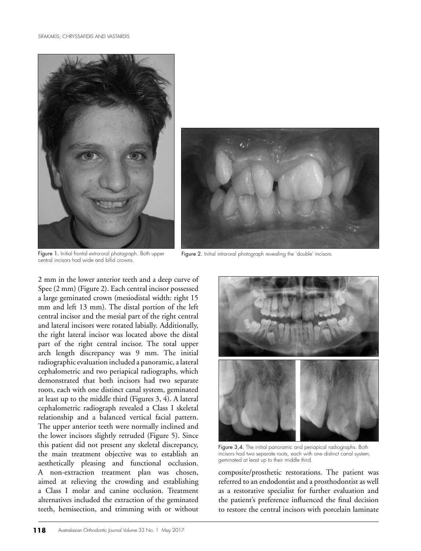



Figure 1. Initial frontal extra-oral photograph. Both upper central incisors had wide and bifid crowns.

Figure 2. Initial intra-oral photograph revealing the 'double' incisors.

2 mm in the lower anterior teeth and a deep curve of Spee (2 mm) (Figure 2). Each central incisor possessed a large geminated crown (mesiodistal width: right 15 mm and left 13 mm). The distal portion of the left central incisor and the mesial part of the right central and lateral incisors were rotated labially. Additionally, the right lateral incisor was located above the distal part of the right central incisor. The total upper arch length discrepancy was 9 mm. The initial radiographic evaluation included a panoramic, a lateral cephalometric and two periapical radiographs, which demonstrated that both incisors had two separate roots, each with one distinct canal system, geminated at least up to the middle third (Figures 3, 4). A lateral cephalometric radiograph revealed a Class I skeletal relationship and a balanced vertical facial pattern. The upper anterior teeth were normally inclined and the lower incisors slightly retruded (Figure 5). Since this patient did not present any skeletal discrepancy, the main treatment objective was to establish an aesthetically pleasing and functional occlusion. A non-extraction treatment plan was chosen, aimed at relieving the crowding and establishing a Class I molar and canine occlusion. Treatment alternatives included the extraction of the geminated teeth, hemisection, and trimming with or without



Figure 3,4. The initial panoramic and periapical radiographs. Both incisors had two separate roots, each with one distinct canal system, geminated at least up to their middle third.

composite/prosthetic restorations. The patient was referred to an endodontist and a prosthodontist as well as a restorative specialist for further evaluation and the patient's preference influenced the final decision to restore the central incisors with porcelain laminate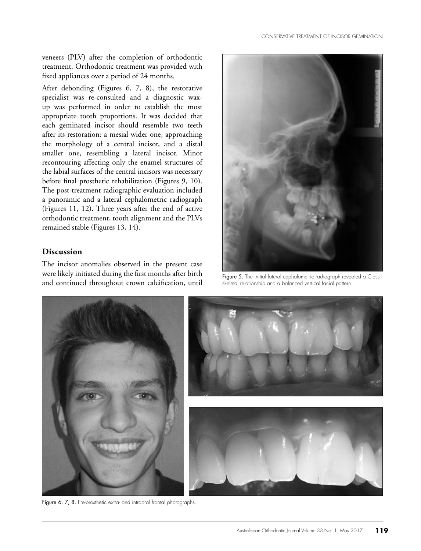veneers (PLV) after the completion of orthodontic treatment. Orthodontic treatment was provided with fixed appliances over a period of 24 months.

After debonding (Figures 6, 7, 8), the restorative specialist was re-consulted and a diagnostic waxup was performed in order to establish the most appropriate tooth proportions. It was decided that each geminated incisor should resemble two teeth after its restoration: a mesial wider one, approaching the morphology of a central incisor, and a distal smaller one, resembling a lateral incisor. Minor recontouring affecting only the enamel structures of the labial surfaces of the central incisors was necessary before final prosthetic rehabilitation (Figures 9, 10). The post-treatment radiographic evaluation included a panoramic and a lateral cephalometric radiograph (Figures 11, 12). Three years after the end of active orthodontic treatment, tooth alignment and the PLVs remained stable (Figures 13, 14).

#### **Discussion**

The incisor anomalies observed in the present case were likely initiated during the first months after birth were likely initiated during the first months after birth Figure 5. The initial lateral cephalometric radiograph revealed a Class I<br>and continued throughout crown calcification, until skeletal relationship and a balanced v



skeletal relationship and a balanced vertical facial pattern.



Figure 6, 7, 8. Pre-prosthetic extra- and intraoral frontal photographs.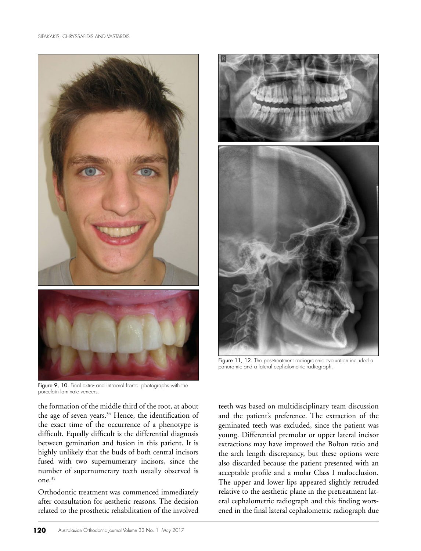



Figure 9, 10. Final extra- and intraoral frontal photographs with the porcelain laminate veneers.

the formation of the middle third of the root, at about the age of seven years.<sup>34</sup> Hence, the identification of the exact time of the occurrence of a phenotype is difficult. Equally difficult is the differential diagnosis between gemination and fusion in this patient. It is highly unlikely that the buds of both central incisors fused with two supernumerary incisors, since the number of supernumerary teeth usually observed is one.35

Orthodontic treatment was commenced immediately after consultation for aesthetic reasons. The decision related to the prosthetic rehabilitation of the involved

teeth was based on multidisciplinary team discussion and the patient's preference. The extraction of the geminated teeth was excluded, since the patient was young. Differential premolar or upper lateral incisor extractions may have improved the Bolton ratio and the arch length discrepancy, but these options were also discarded because the patient presented with an acceptable profile and a molar Class I malocclusion. The upper and lower lips appeared slightly retruded relative to the aesthetic plane in the pretreatment lateral cephalometric radiograph and this finding worsened in the final lateral cephalometric radiograph due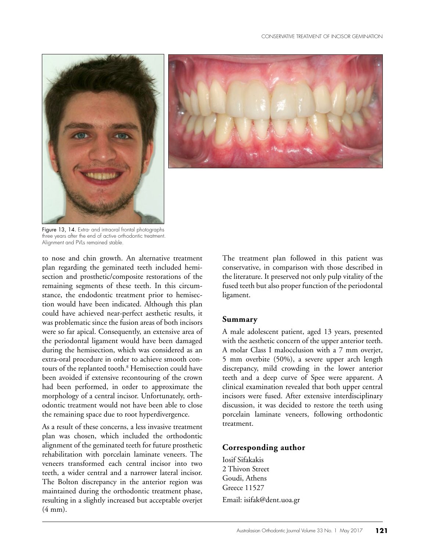



Figure 13, 14. Extra- and intraoral frontal photographs three years after the end of active orthodontic treatment. Alignment and PVLs remained stable.

to nose and chin growth. An alternative treatment plan regarding the geminated teeth included hemisection and prosthetic/composite restorations of the remaining segments of these teeth. In this circumstance, the endodontic treatment prior to hemisection would have been indicated. Although this plan could have achieved near-perfect aesthetic results, it was problematic since the fusion areas of both incisors were so far apical. Consequently, an extensive area of the periodontal ligament would have been damaged during the hemisection, which was considered as an extra-oral procedure in order to achieve smooth contours of the replanted tooth.<sup>8</sup> Hemisection could have been avoided if extensive recontouring of the crown had been performed, in order to approximate the morphology of a central incisor. Unfortunately, orthodontic treatment would not have been able to close the remaining space due to root hyperdivergence.

As a result of these concerns, a less invasive treatment plan was chosen, which included the orthodontic alignment of the geminated teeth for future prosthetic rehabilitation with porcelain laminate veneers. The veneers transformed each central incisor into two teeth, a wider central and a narrower lateral incisor. The Bolton discrepancy in the anterior region was maintained during the orthodontic treatment phase, resulting in a slightly increased but acceptable overjet (4 mm).

The treatment plan followed in this patient was conservative, in comparison with those described in the literature. It preserved not only pulp vitality of the fused teeth but also proper function of the periodontal ligament.

#### **Summary**

A male adolescent patient, aged 13 years, presented with the aesthetic concern of the upper anterior teeth. A molar Class I malocclusion with a 7 mm overjet, 5 mm overbite (50%), a severe upper arch length discrepancy, mild crowding in the lower anterior teeth and a deep curve of Spee were apparent. A clinical examination revealed that both upper central incisors were fused. After extensive interdisciplinary discussion, it was decided to restore the teeth using porcelain laminate veneers, following orthodontic treatment.

#### **Corresponding author**

Iosif Sifakakis 2 Thivon Street Goudi, Athens Greece 11527 Email: isifak@dent.uoa.gr